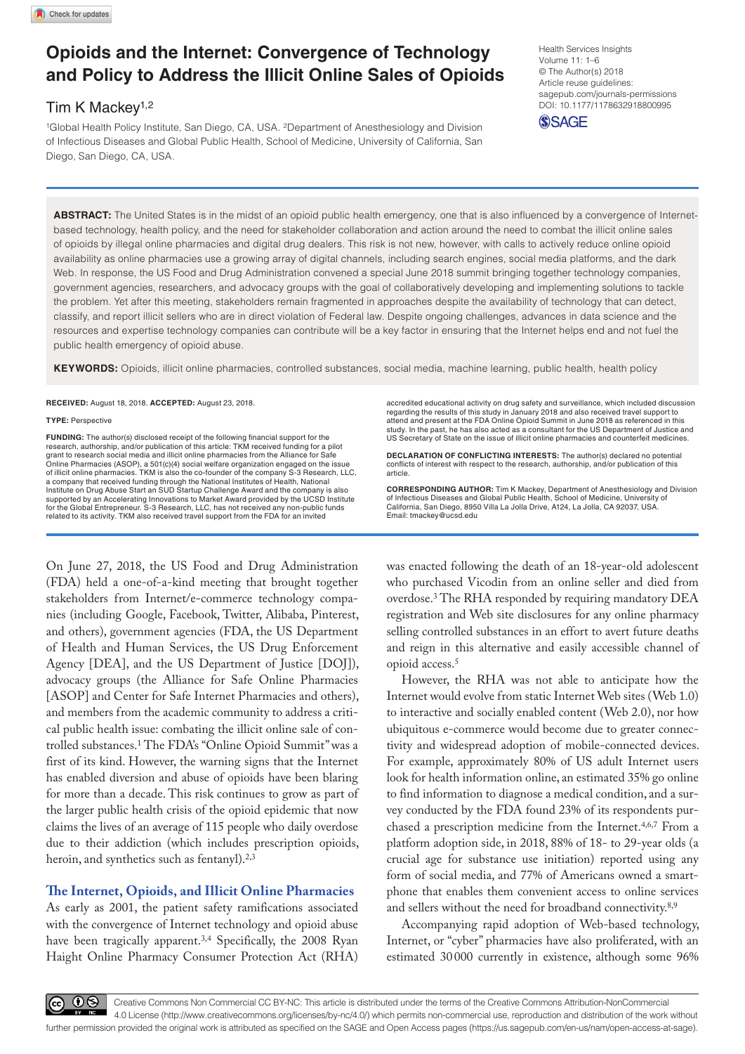# **Opioids and the Internet: Convergence of Technology and Policy to Address the Illicit Online Sales of Opioids**

## Tim K Mackey1,2

1Global Health Policy Institute, San Diego, CA, USA. 2Department of Anesthesiology and Division of Infectious Diseases and Global Public Health, School of Medicine, University of California, San Diego, San Diego, CA, USA.

DOI: 10.1177/1178632918800995 Health Services Insights Volume 11: 1–6 © The Author(s) 2018 Article reuse guidelines: [sagepub.com/journals-permissions](https://uk.sagepub.com/en-gb/journals-permissions)



**ABSTRACT:** The United States is in the midst of an opioid public health emergency, one that is also influenced by a convergence of Internetbased technology, health policy, and the need for stakeholder collaboration and action around the need to combat the illicit online sales of opioids by illegal online pharmacies and digital drug dealers. This risk is not new, however, with calls to actively reduce online opioid availability as online pharmacies use a growing array of digital channels, including search engines, social media platforms, and the dark Web. In response, the US Food and Drug Administration convened a special June 2018 summit bringing together technology companies, government agencies, researchers, and advocacy groups with the goal of collaboratively developing and implementing solutions to tackle the problem. Yet after this meeting, stakeholders remain fragmented in approaches despite the availability of technology that can detect, classify, and report illicit sellers who are in direct violation of Federal law. Despite ongoing challenges, advances in data science and the resources and expertise technology companies can contribute will be a key factor in ensuring that the Internet helps end and not fuel the public health emergency of opioid abuse.

**Keywords:** Opioids, illicit online pharmacies, controlled substances, social media, machine learning, public health, health policy

#### **RECEIVED:** August 18, 2018. **ACCEPTED:** August 23, 2018.

#### **Type:** Perspective

**Funding:** The author(s) disclosed receipt of the following financial support for the research, authorship, and/or publication of this article: TKM received funding for a pilot grant to research social media and illicit online pharmacies from the Alliance for Safe Online Pharmacies (ASOP), a 501(c)(4) social welfare organization engaged on the issue of illicit online pharmacies. TKM is also the co-founder of the company S-3 Research, LLC,<br>a company that received funding through the National Institutes of Health, National<br>Institute on Drug Abuse Start an SUD Startup Ch supported by an Accelerating Innovations to Market Award provided by the UCSD Institute for the Global Entrepreneur. S-3 Research, LLC, has not received any non-public funds related to its activity. TKM also received travel support from the FDA for an invited

On June 27, 2018, the US Food and Drug Administration (FDA) held a one-of-a-kind meeting that brought together stakeholders from Internet/e-commerce technology companies (including Google, Facebook, Twitter, Alibaba, Pinterest, and others), government agencies (FDA, the US Department of Health and Human Services, the US Drug Enforcement Agency [DEA], and the US Department of Justice [DOJ]), advocacy groups (the Alliance for Safe Online Pharmacies [ASOP] and Center for Safe Internet Pharmacies and others), and members from the academic community to address a critical public health issue: combating the illicit online sale of controlled substances.1 The FDA's "Online Opioid Summit" was a first of its kind. However, the warning signs that the Internet has enabled diversion and abuse of opioids have been blaring for more than a decade. This risk continues to grow as part of the larger public health crisis of the opioid epidemic that now claims the lives of an average of 115 people who daily overdose due to their addiction (which includes prescription opioids, heroin, and synthetics such as fentanyl).<sup>2,3</sup>

## **The Internet, Opioids, and Illicit Online Pharmacies**

As early as 2001, the patient safety ramifications associated with the convergence of Internet technology and opioid abuse have been tragically apparent.<sup>3,4</sup> Specifically, the 2008 Ryan Haight Online Pharmacy Consumer Protection Act (RHA)

accredited educational activity on drug safety and surveillance, which included discussion regarding the results of this study in January 2018 and also received travel support to attend and present at the FDA Online Opioid Summit in June 2018 as referenced in this study. In the past, he has also acted as a consultant for the US Department of Justice and US Secretary of State on the issue of illicit online pharmacies and counterfeit medicines.

**Declaration of conflicting interests:** The author(s) declared no potential conflicts of interest with respect to the research, authorship, and/or publication of this article.

**CORRESPONDING AUTHOR:** Tim K Mackey, Department of Anesthesiology and Division of Infectious Diseases and Global Public Health, School of Medicine, University of California, San Diego, 8950 Villa La Jolla Drive, A124, La Jolla, CA 92037, USA. Email: [tmackey@ucsd.edu](mailto:tmackey@ucsd.edu)

was enacted following the death of an 18-year-old adolescent who purchased Vicodin from an online seller and died from overdose.3 The RHA responded by requiring mandatory DEA registration and Web site disclosures for any online pharmacy selling controlled substances in an effort to avert future deaths and reign in this alternative and easily accessible channel of opioid access.5

However, the RHA was not able to anticipate how the Internet would evolve from static Internet Web sites (Web 1.0) to interactive and socially enabled content (Web 2.0), nor how ubiquitous e-commerce would become due to greater connectivity and widespread adoption of mobile-connected devices. For example, approximately 80% of US adult Internet users look for health information online, an estimated 35% go online to find information to diagnose a medical condition, and a survey conducted by the FDA found 23% of its respondents purchased a prescription medicine from the Internet.<sup>4,6,7</sup> From a platform adoption side, in 2018, 88% of 18- to 29-year olds (a crucial age for substance use initiation) reported using any form of social media, and 77% of Americans owned a smartphone that enables them convenient access to online services and sellers without the need for broadband connectivity.<sup>8,9</sup>

Accompanying rapid adoption of Web-based technology, Internet, or "cyber" pharmacies have also proliferated, with an estimated 30000 currently in existence, although some 96%

 $\odot$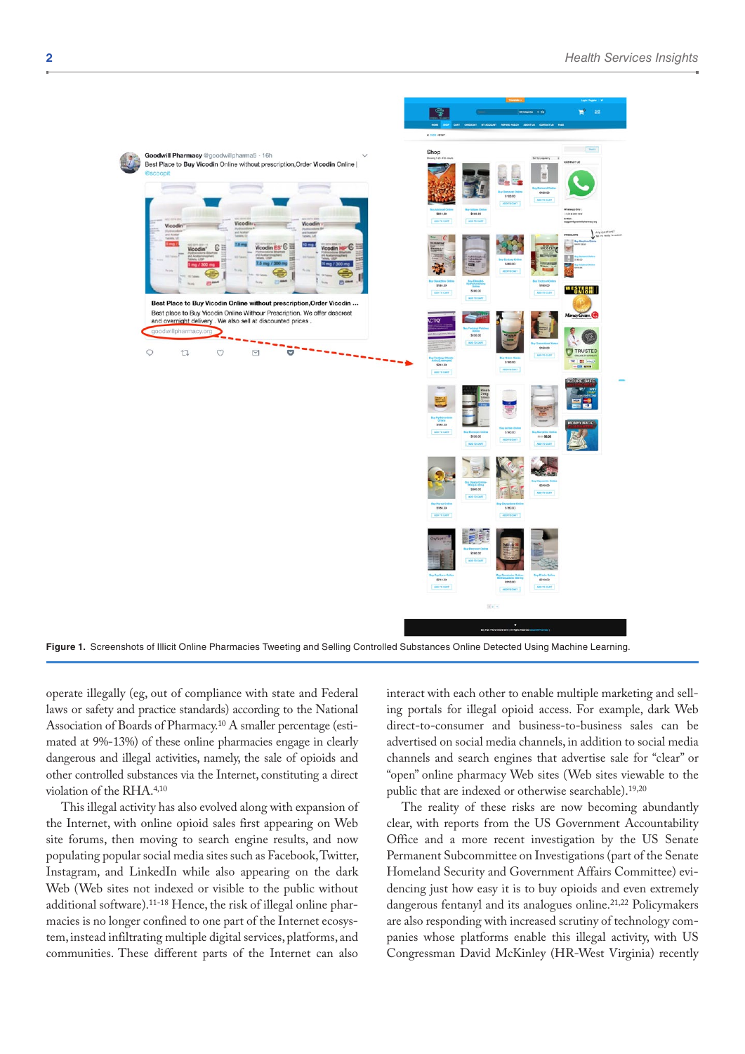

**Figure 1.** Screenshots of Illicit Online Pharmacies Tweeting and Selling Controlled Substances Online Detected Using Machine Learning.

operate illegally (eg, out of compliance with state and Federal laws or safety and practice standards) according to the National Association of Boards of Pharmacy.10 A smaller percentage (estimated at 9%-13%) of these online pharmacies engage in clearly dangerous and illegal activities, namely, the sale of opioids and other controlled substances via the Internet, constituting a direct violation of the RHA.4,10

This illegal activity has also evolved along with expansion of the Internet, with online opioid sales first appearing on Web site forums, then moving to search engine results, and now populating popular social media sites such as Facebook, Twitter, Instagram, and LinkedIn while also appearing on the dark Web (Web sites not indexed or visible to the public without additional software).11-18 Hence, the risk of illegal online pharmacies is no longer confined to one part of the Internet ecosystem, instead infiltrating multiple digital services, platforms, and communities. These different parts of the Internet can also

interact with each other to enable multiple marketing and selling portals for illegal opioid access. For example, dark Web direct-to-consumer and business-to-business sales can be advertised on social media channels, in addition to social media channels and search engines that advertise sale for "clear" or "open" online pharmacy Web sites (Web sites viewable to the public that are indexed or otherwise searchable).<sup>19,20</sup>

The reality of these risks are now becoming abundantly clear, with reports from the US Government Accountability Office and a more recent investigation by the US Senate Permanent Subcommittee on Investigations (part of the Senate Homeland Security and Government Affairs Committee) evidencing just how easy it is to buy opioids and even extremely dangerous fentanyl and its analogues online.<sup>21,22</sup> Policymakers are also responding with increased scrutiny of technology companies whose platforms enable this illegal activity, with US Congressman David McKinley (HR-West Virginia) recently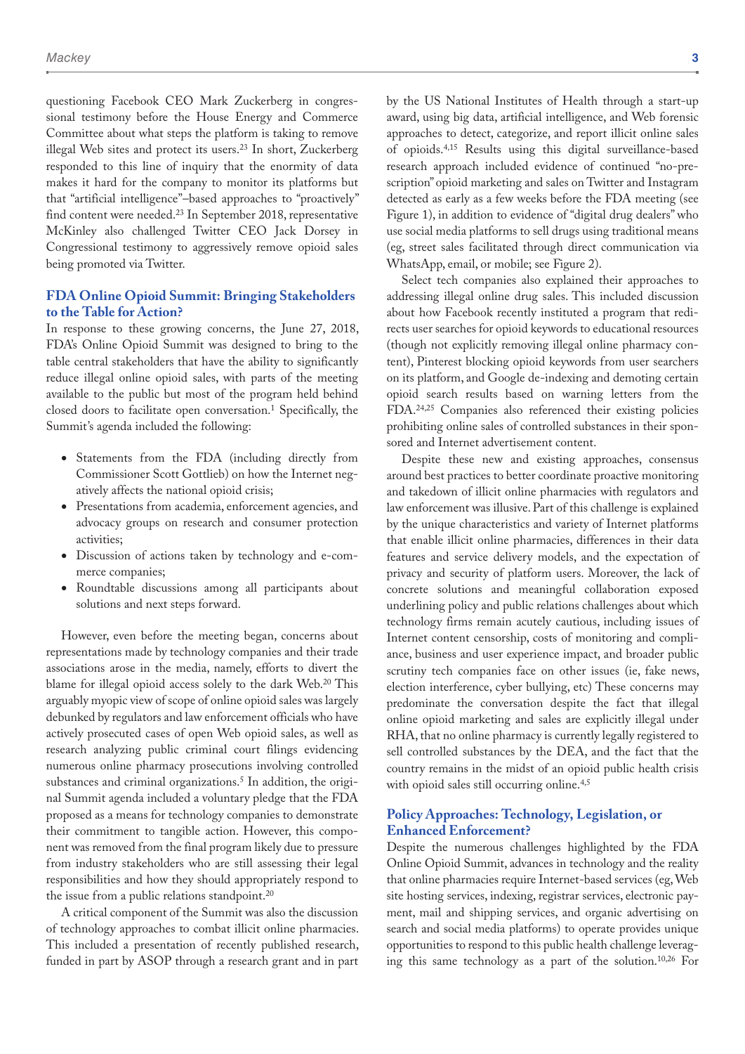questioning Facebook CEO Mark Zuckerberg in congressional testimony before the House Energy and Commerce Committee about what steps the platform is taking to remove illegal Web sites and protect its users.<sup>23</sup> In short, Zuckerberg responded to this line of inquiry that the enormity of data makes it hard for the company to monitor its platforms but that "artificial intelligence"–based approaches to "proactively" find content were needed.23 In September 2018, representative McKinley also challenged Twitter CEO Jack Dorsey in Congressional testimony to aggressively remove opioid sales being promoted via Twitter.

## **FDA Online Opioid Summit: Bringing Stakeholders to the Table for Action?**

In response to these growing concerns, the June 27, 2018, FDA's Online Opioid Summit was designed to bring to the table central stakeholders that have the ability to significantly reduce illegal online opioid sales, with parts of the meeting available to the public but most of the program held behind closed doors to facilitate open conversation.<sup>1</sup> Specifically, the Summit's agenda included the following:

- Statements from the FDA (including directly from Commissioner Scott Gottlieb) on how the Internet negatively affects the national opioid crisis;
- Presentations from academia, enforcement agencies, and advocacy groups on research and consumer protection activities;
- Discussion of actions taken by technology and e-commerce companies;
- Roundtable discussions among all participants about solutions and next steps forward.

However, even before the meeting began, concerns about representations made by technology companies and their trade associations arose in the media, namely, efforts to divert the blame for illegal opioid access solely to the dark Web.20 This arguably myopic view of scope of online opioid sales was largely debunked by regulators and law enforcement officials who have actively prosecuted cases of open Web opioid sales, as well as research analyzing public criminal court filings evidencing numerous online pharmacy prosecutions involving controlled substances and criminal organizations.<sup>5</sup> In addition, the original Summit agenda included a voluntary pledge that the FDA proposed as a means for technology companies to demonstrate their commitment to tangible action. However, this component was removed from the final program likely due to pressure from industry stakeholders who are still assessing their legal responsibilities and how they should appropriately respond to the issue from a public relations standpoint.<sup>20</sup>

A critical component of the Summit was also the discussion of technology approaches to combat illicit online pharmacies. This included a presentation of recently published research, funded in part by ASOP through a research grant and in part

by the US National Institutes of Health through a start-up award, using big data, artificial intelligence, and Web forensic approaches to detect, categorize, and report illicit online sales of opioids.4,15 Results using this digital surveillance-based research approach included evidence of continued "no-pre-

scription" opioid marketing and sales on Twitter and Instagram detected as early as a few weeks before the FDA meeting (see Figure 1), in addition to evidence of "digital drug dealers" who use social media platforms to sell drugs using traditional means (eg, street sales facilitated through direct communication via WhatsApp, email, or mobile; see Figure 2).

Select tech companies also explained their approaches to addressing illegal online drug sales. This included discussion about how Facebook recently instituted a program that redirects user searches for opioid keywords to educational resources (though not explicitly removing illegal online pharmacy content), Pinterest blocking opioid keywords from user searchers on its platform, and Google de-indexing and demoting certain opioid search results based on warning letters from the FDA.24,25 Companies also referenced their existing policies prohibiting online sales of controlled substances in their sponsored and Internet advertisement content.

Despite these new and existing approaches, consensus around best practices to better coordinate proactive monitoring and takedown of illicit online pharmacies with regulators and law enforcement was illusive. Part of this challenge is explained by the unique characteristics and variety of Internet platforms that enable illicit online pharmacies, differences in their data features and service delivery models, and the expectation of privacy and security of platform users. Moreover, the lack of concrete solutions and meaningful collaboration exposed underlining policy and public relations challenges about which technology firms remain acutely cautious, including issues of Internet content censorship, costs of monitoring and compliance, business and user experience impact, and broader public scrutiny tech companies face on other issues (ie, fake news, election interference, cyber bullying, etc) These concerns may predominate the conversation despite the fact that illegal online opioid marketing and sales are explicitly illegal under RHA, that no online pharmacy is currently legally registered to sell controlled substances by the DEA, and the fact that the country remains in the midst of an opioid public health crisis with opioid sales still occurring online.<sup>4,5</sup>

## **Policy Approaches: Technology, Legislation, or Enhanced Enforcement?**

Despite the numerous challenges highlighted by the FDA Online Opioid Summit, advances in technology and the reality that online pharmacies require Internet-based services (eg, Web site hosting services, indexing, registrar services, electronic payment, mail and shipping services, and organic advertising on search and social media platforms) to operate provides unique opportunities to respond to this public health challenge leveraging this same technology as a part of the solution.10,26 For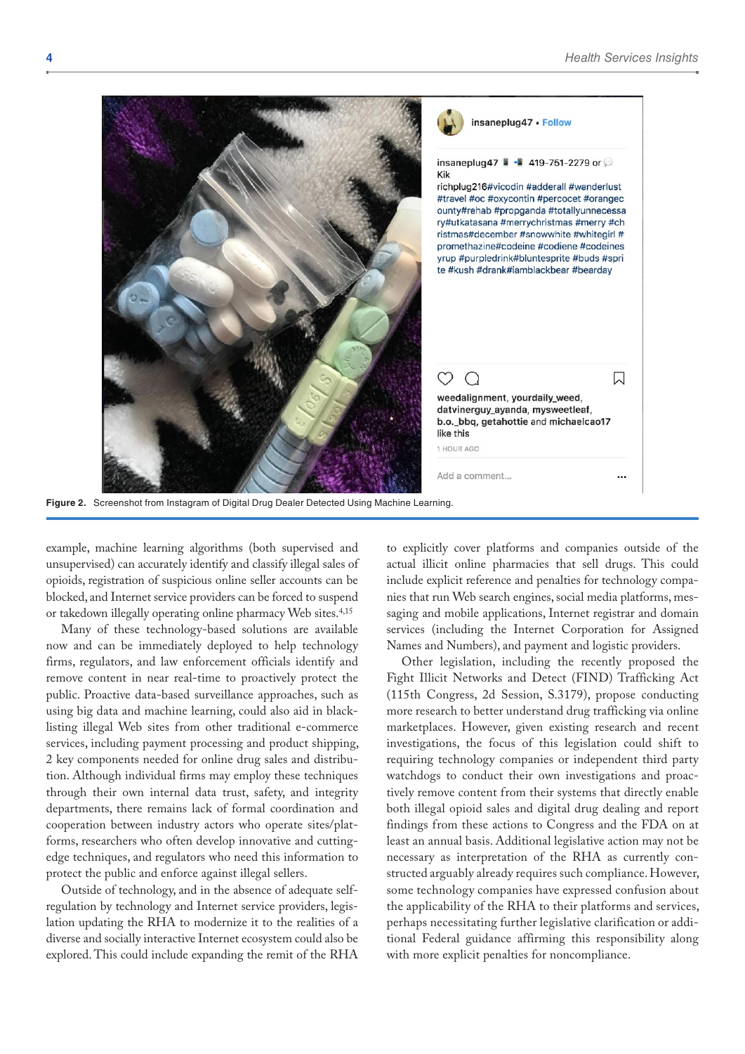

**Figure 2.** Screenshot from Instagram of Digital Drug Dealer Detected Using Machine Learning.

example, machine learning algorithms (both supervised and unsupervised) can accurately identify and classify illegal sales of opioids, registration of suspicious online seller accounts can be blocked, and Internet service providers can be forced to suspend or takedown illegally operating online pharmacy Web sites.4,15

Many of these technology-based solutions are available now and can be immediately deployed to help technology firms, regulators, and law enforcement officials identify and remove content in near real-time to proactively protect the public. Proactive data-based surveillance approaches, such as using big data and machine learning, could also aid in blacklisting illegal Web sites from other traditional e-commerce services, including payment processing and product shipping, 2 key components needed for online drug sales and distribution. Although individual firms may employ these techniques through their own internal data trust, safety, and integrity departments, there remains lack of formal coordination and cooperation between industry actors who operate sites/platforms, researchers who often develop innovative and cuttingedge techniques, and regulators who need this information to protect the public and enforce against illegal sellers.

Outside of technology, and in the absence of adequate selfregulation by technology and Internet service providers, legislation updating the RHA to modernize it to the realities of a diverse and socially interactive Internet ecosystem could also be explored. This could include expanding the remit of the RHA to explicitly cover platforms and companies outside of the actual illicit online pharmacies that sell drugs. This could include explicit reference and penalties for technology companies that run Web search engines, social media platforms, messaging and mobile applications, Internet registrar and domain services (including the Internet Corporation for Assigned Names and Numbers), and payment and logistic providers.

Other legislation, including the recently proposed the Fight Illicit Networks and Detect (FIND) Trafficking Act (115th Congress, 2d Session, S.3179), propose conducting more research to better understand drug trafficking via online marketplaces. However, given existing research and recent investigations, the focus of this legislation could shift to requiring technology companies or independent third party watchdogs to conduct their own investigations and proactively remove content from their systems that directly enable both illegal opioid sales and digital drug dealing and report findings from these actions to Congress and the FDA on at least an annual basis. Additional legislative action may not be necessary as interpretation of the RHA as currently constructed arguably already requires such compliance. However, some technology companies have expressed confusion about the applicability of the RHA to their platforms and services, perhaps necessitating further legislative clarification or additional Federal guidance affirming this responsibility along with more explicit penalties for noncompliance.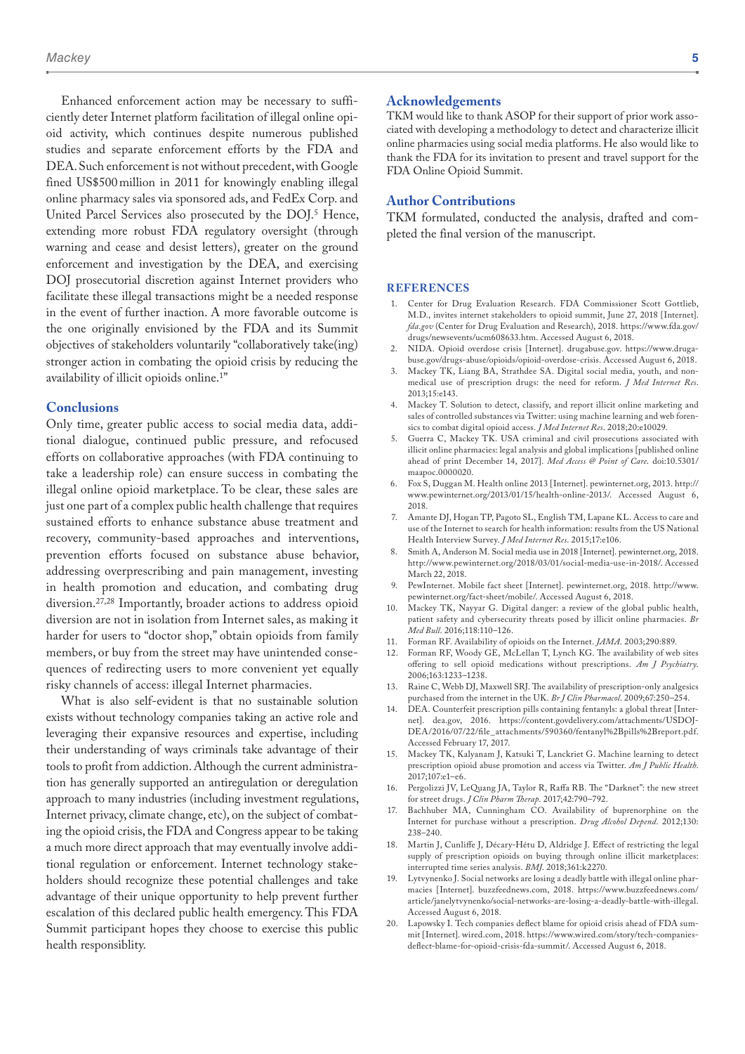Enhanced enforcement action may be necessary to sufficiently deter Internet platform facilitation of illegal online opioid activity, which continues despite numerous published studies and separate enforcement efforts by the FDA and DEA. Such enforcement is not without precedent, with Google fined US\$500million in 2011 for knowingly enabling illegal online pharmacy sales via sponsored ads, and FedEx Corp. and United Parcel Services also prosecuted by the DOJ.5 Hence, extending more robust FDA regulatory oversight (through warning and cease and desist letters), greater on the ground enforcement and investigation by the DEA, and exercising DOJ prosecutorial discretion against Internet providers who facilitate these illegal transactions might be a needed response in the event of further inaction. A more favorable outcome is the one originally envisioned by the FDA and its Summit objectives of stakeholders voluntarily "collaboratively take(ing) stronger action in combating the opioid crisis by reducing the availability of illicit opioids online.1"

#### **Conclusions**

Only time, greater public access to social media data, additional dialogue, continued public pressure, and refocused efforts on collaborative approaches (with FDA continuing to take a leadership role) can ensure success in combating the illegal online opioid marketplace. To be clear, these sales are just one part of a complex public health challenge that requires sustained efforts to enhance substance abuse treatment and recovery, community-based approaches and interventions, prevention efforts focused on substance abuse behavior, addressing overprescribing and pain management, investing in health promotion and education, and combating drug diversion.27,28 Importantly, broader actions to address opioid diversion are not in isolation from Internet sales, as making it harder for users to "doctor shop," obtain opioids from family members, or buy from the street may have unintended consequences of redirecting users to more convenient yet equally risky channels of access: illegal Internet pharmacies.

What is also self-evident is that no sustainable solution exists without technology companies taking an active role and leveraging their expansive resources and expertise, including their understanding of ways criminals take advantage of their tools to profit from addiction. Although the current administration has generally supported an antiregulation or deregulation approach to many industries (including investment regulations, Internet privacy, climate change, etc), on the subject of combating the opioid crisis, the FDA and Congress appear to be taking a much more direct approach that may eventually involve additional regulation or enforcement. Internet technology stakeholders should recognize these potential challenges and take advantage of their unique opportunity to help prevent further escalation of this declared public health emergency. This FDA Summit participant hopes they choose to exercise this public health responsiblity.

#### **Acknowledgements**

TKM would like to thank ASOP for their support of prior work associated with developing a methodology to detect and characterize illicit online pharmacies using social media platforms. He also would like to thank the FDA for its invitation to present and travel support for the FDA Online Opioid Summit.

### **Author Contributions**

TKM formulated, conducted the analysis, drafted and completed the final version of the manuscript.

#### **References**

- 1. Center for Drug Evaluation Research. FDA Commissioner Scott Gottlieb, M.D., invites internet stakeholders to opioid summit, June 27, 2018 [Internet]. *fda.gov* (Center for Drug Evaluation and Research), 2018. [https://www.fda.gov/](https://www.fda.gov/drugs/newsevents/ucm608633.htm) [drugs/newsevents/ucm608633.htm](https://www.fda.gov/drugs/newsevents/ucm608633.htm). Accessed August 6, 2018.
- 2. NIDA. Opioid overdose crisis [Internet]. drugabuse.gov. [https://www.druga](https://www.drugabuse.gov/drugs-abuse/opioids/opioid-overdose-crisis)[buse.gov/drugs-abuse/opioids/opioid-overdose-crisis.](https://www.drugabuse.gov/drugs-abuse/opioids/opioid-overdose-crisis) Accessed August 6, 2018.
- 3. Mackey TK, Liang BA, Strathdee SA. Digital social media, youth, and nonmedical use of prescription drugs: the need for reform. *J Med Internet Res*. 2013;15:e143.
- 4. Mackey T. Solution to detect, classify, and report illicit online marketing and sales of controlled substances via Twitter: using machine learning and web forensics to combat digital opioid access. *J Med Internet Res*. 2018;20:e10029.
- 5. Guerra C, Mackey TK. USA criminal and civil prosecutions associated with illicit online pharmacies: legal analysis and global implications [published online ahead of print December 14, 2017]. *Med Access @ Point of Care*. doi:10.5301/ maapoc.0000020.
- 6. Fox S, Duggan M. Health online 2013 [Internet]. pewinternet.org, 2013. [http://](http://www.pewinternet.org/2013/01/15/health-online-2013/) [www.pewinternet.org/2013/01/15/health-online-2013/](http://www.pewinternet.org/2013/01/15/health-online-2013/). Accessed August 6, 2018.
- 7. Amante DJ, Hogan TP, Pagoto SL, English TM, Lapane KL. Access to care and use of the Internet to search for health information: results from the US National Health Interview Survey. *J Med Internet Res*. 2015;17:e106.
- 8. Smith A, Anderson M. Social media use in 2018 [Internet]. pewinternet.org, 2018. [http://www.pewinternet.org/2018/03/01/social-media-use-in-2018/.](http://www.pewinternet.org/2018/03/01/social-media-use-in-2018/) Accessed March 22, 2018.
- 9. PewInternet. Mobile fact sheet [Internet]. pewinternet.org, 2018. [http://www.](http://www.pewinternet.org/fact-sheet/mobile/) [pewinternet.org/fact-sheet/mobile/.](http://www.pewinternet.org/fact-sheet/mobile/) Accessed August 6, 2018.
- 10. Mackey TK, Nayyar G. Digital danger: a review of the global public health, patient safety and cybersecurity threats posed by illicit online pharmacies. *Br Med Bull*. 2016;118:110–126.
- 11. Forman RF. Availability of opioids on the Internet. *JAMA*. 2003;290:889.
- Forman RF, Woody GE, McLellan T, Lynch KG. The availability of web sites offering to sell opioid medications without prescriptions. *Am J Psychiatry*. 2006;163:1233–1238.
- 13. Raine C, Webb DJ, Maxwell SRJ. The availability of prescription-only analgesics purchased from the internet in the UK. *Br J Clin Pharmacol*. 2009;67:250–254.
- 14. DEA. Counterfeit prescription pills containing fentanyls: a global threat [Internet]. dea.gov, 2016. [https://content.govdelivery.com/attachments/USDOJ-](https://content.govdelivery.com/attachments/USDOJDEA/2016/07/22/file_attachments/590360/fentanyl%2Bpills%2Breport.pdf)[DEA/2016/07/22/file\\_attachments/590360/fentanyl%2Bpills%2Breport.pdf.](https://content.govdelivery.com/attachments/USDOJDEA/2016/07/22/file_attachments/590360/fentanyl%2Bpills%2Breport.pdf) Accessed February 17, 2017.
- 15. Mackey TK, Kalyanam J, Katsuki T, Lanckriet G. Machine learning to detect prescription opioid abuse promotion and access via Twitter. *Am J Public Health*. 2017;107:e1–e6.
- 16. Pergolizzi JV, LeQuang JA, Taylor R, Raffa RB. The "Darknet": the new street for street drugs. *J Clin Pharm Therap*. 2017;42:790–792.
- 17. Bachhuber MA, Cunningham CO. Availability of buprenorphine on the Internet for purchase without a prescription. *Drug Alcohol Depend*. 2012;130: 238–240.
- 18. Martin J, Cunliffe J, Décary-Hétu D, Aldridge J. Effect of restricting the legal supply of prescription opioids on buying through online illicit marketplaces: interrupted time series analysis. *BMJ*. 2018;361:k2270.
- 19. Lytvynenko J. Social networks are losing a deadly battle with illegal online pharmacies [Internet]. buzzfeednews.com, 2018. [https://www.buzzfeednews.com/](https://www.buzzfeednews.com/article/janelytvynenko/social-networks-are-losing-a-deadly-battle-with-illegal) [article/janelytvynenko/social-networks-are-losing-a-deadly-battle-with-illegal.](https://www.buzzfeednews.com/article/janelytvynenko/social-networks-are-losing-a-deadly-battle-with-illegal) Accessed August 6, 2018.
- 20. Lapowsky I. Tech companies deflect blame for opioid crisis ahead of FDA summit [Internet]. wired.com, 2018. [https://www.wired.com/story/tech-companies](https://www.wired.com/story/tech-companies-deflect-blame-for-opioid-crisis-fda-summit/)[deflect-blame-for-opioid-crisis-fda-summit/](https://www.wired.com/story/tech-companies-deflect-blame-for-opioid-crisis-fda-summit/). Accessed August 6, 2018.